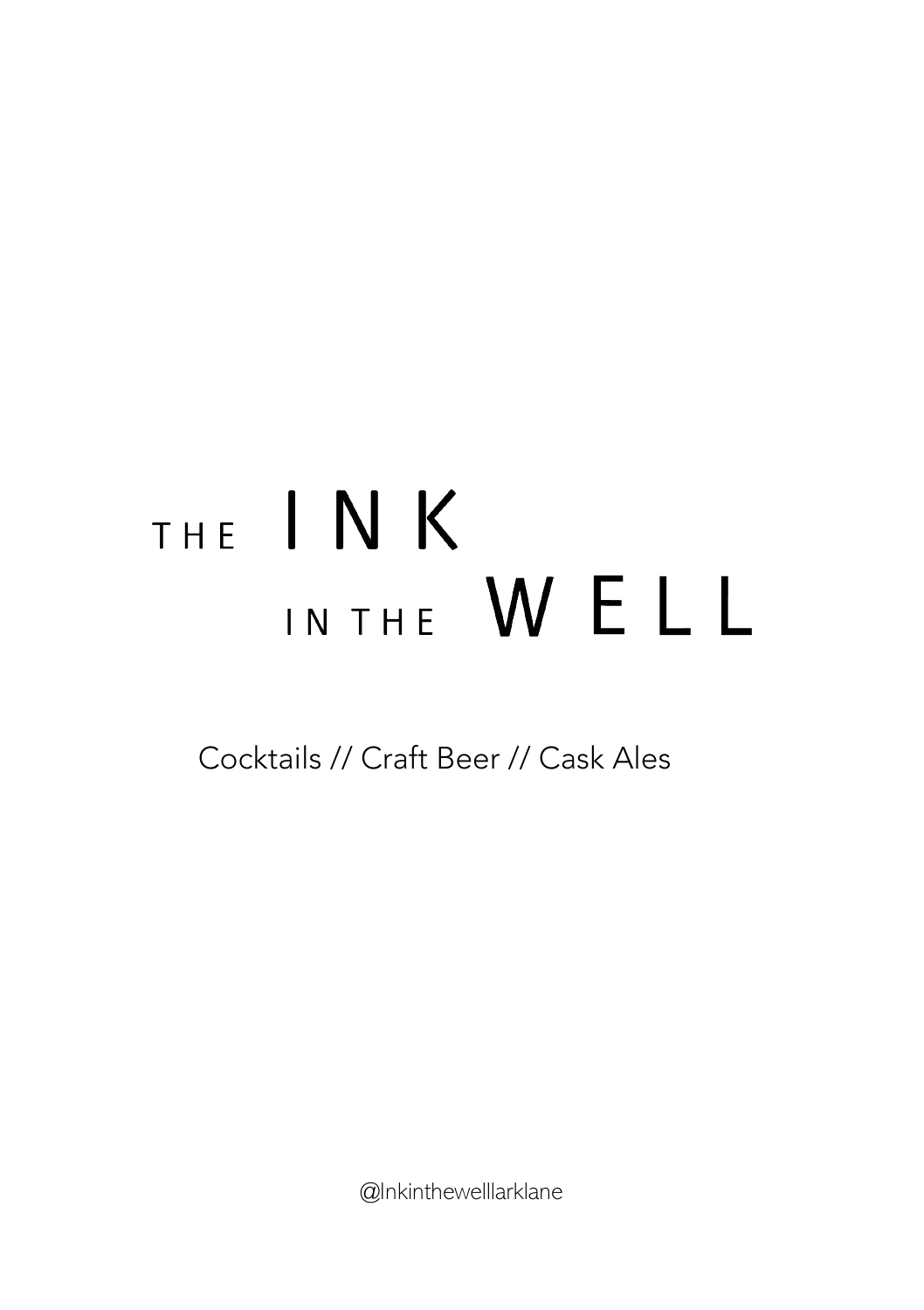# THE INK IN THE WELL

Cocktails // Craft Beer // Cask Ales

@Inkinthewelllarklane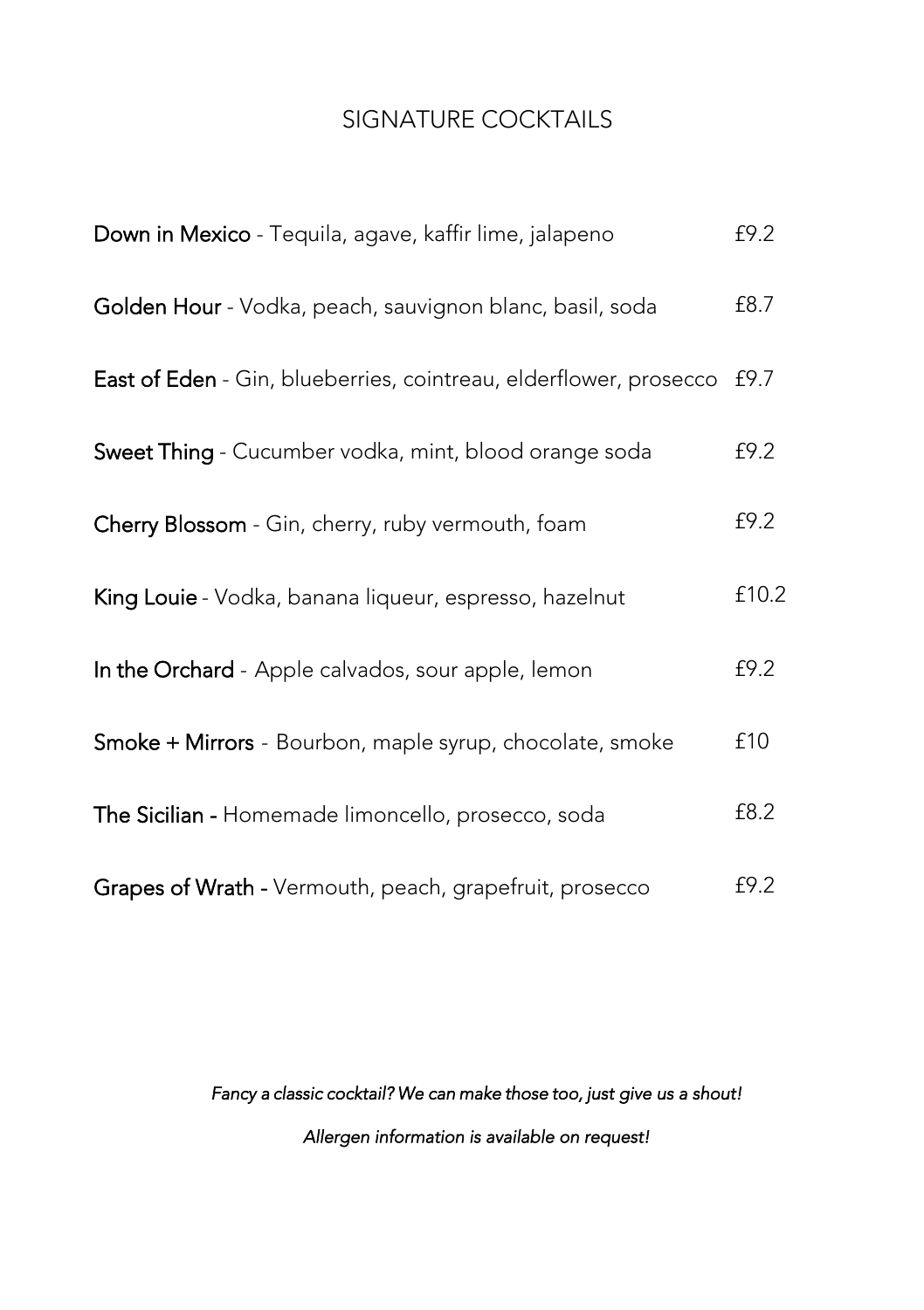#### SIGNATURE COCKTAILS

| Down in Mexico - Tequila, agave, kaffir lime, jalapeno            | £9.2  |
|-------------------------------------------------------------------|-------|
| Golden Hour - Vodka, peach, sauvignon blanc, basil, soda          | £8.7  |
| East of Eden - Gin, blueberries, cointreau, elderflower, prosecco | £9.7  |
| Sweet Thing - Cucumber vodka, mint, blood orange soda             | £9.2  |
| Cherry Blossom - Gin, cherry, ruby vermouth, foam                 | £9.2  |
| King Louie - Vodka, banana liqueur, espresso, hazelnut            | £10.2 |
| In the Orchard - Apple calvados, sour apple, lemon                | £9.2  |
| Smoke + Mirrors - Bourbon, maple syrup, chocolate, smoke          | £10   |
| The Sicilian - Homemade limoncello, prosecco, soda                | £8.2  |
| Grapes of Wrath - Vermouth, peach, grapefruit, prosecco           | £9.2  |

# Fancy a classic cocktail? We can make those too, just give us a shout! Allergen information is available on request!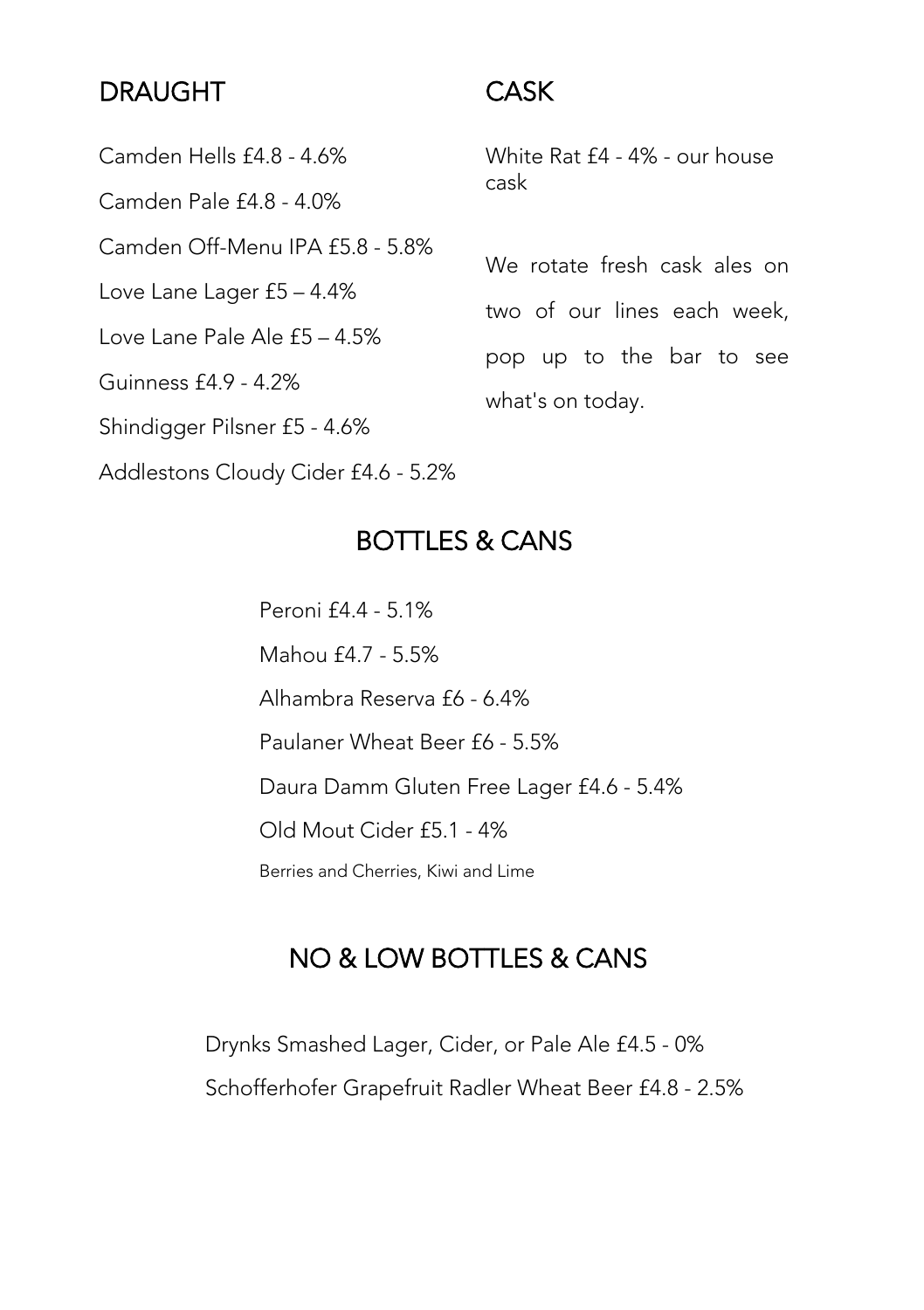# DRAUGHT

#### CASK

Camden Hells £4.8 - 4.6% Camden Pale £4.8 - 4.0% Camden Off-Menu IPA £5.8 - 5.8% Love Lane Lager £5 – 4.4% Love Lane Pale Ale £5 – 4.5% Guinness £4.9 - 4.2% Shindigger Pilsner £5 - 4.6%

White Rat £4 - 4% - our house cask

We rotate fresh cask ales on two of our lines each week, pop up to the bar to see what's on today.

Addlestons Cloudy Cider £4.6 - 5.2%

### BOTTLES & CANS

Peroni £4.4 - 5.1% Mahou £4.7 - 5.5% Alhambra Reserva £6 - 6.4% Paulaner Wheat Beer £6 - 5.5% Daura Damm Gluten Free Lager £4.6 - 5.4% Old Mout Cider £5.1 - 4% Berries and Cherries, Kiwi and Lime

# NO & LOW BOTTLES & CANS

Drynks Smashed Lager, Cider, or Pale Ale £4.5 - 0% Schofferhofer Grapefruit Radler Wheat Beer £4.8 - 2.5%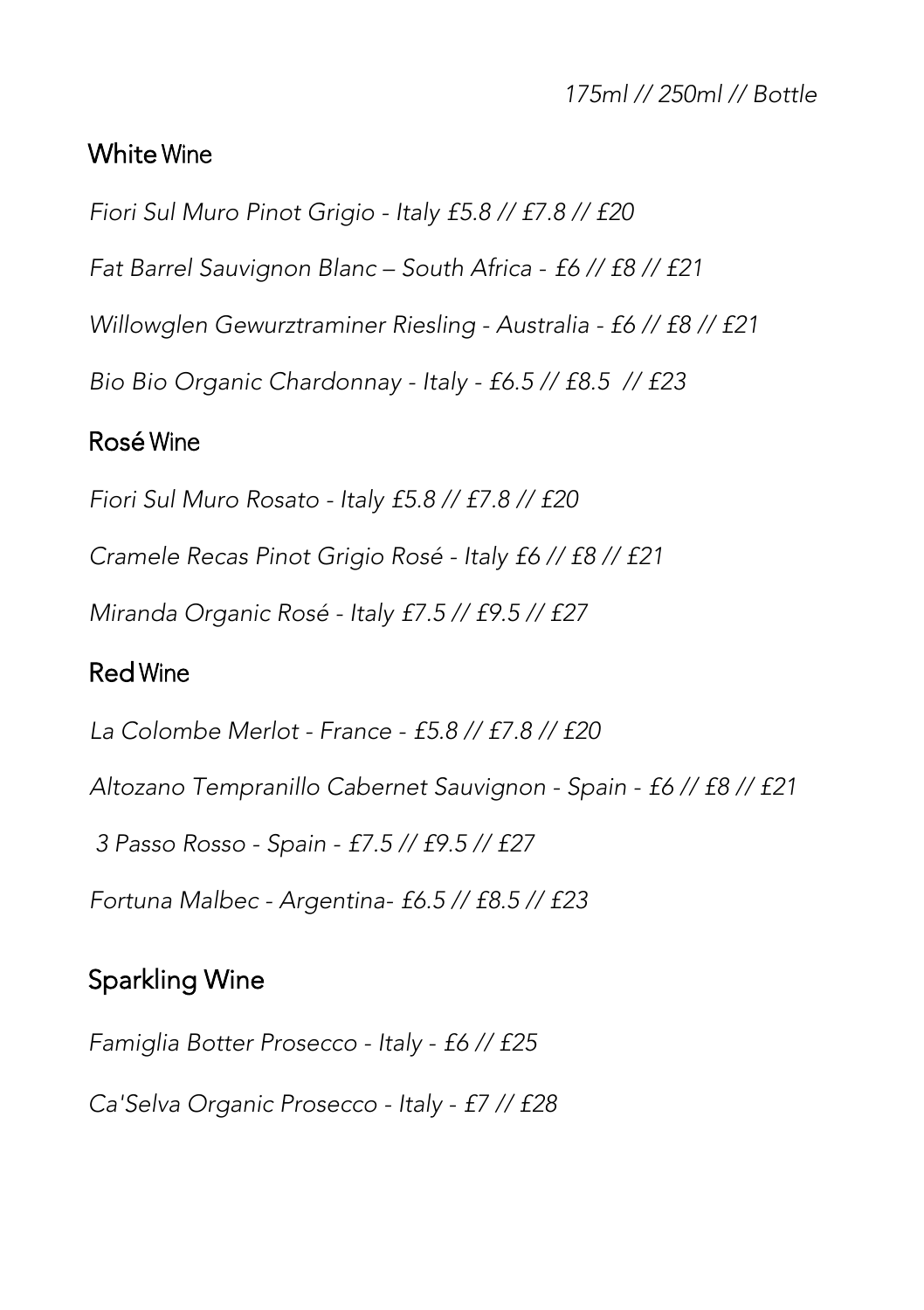175ml // 250ml // Bottle

#### White Wine

Fiori Sul Muro Pinot Grigio - Italy £5.8 // £7.8 // £20

Fat Barrel Sauvignon Blanc – South Africa - £6 // £8 // £21

Willowglen Gewurztraminer Riesling - Australia - £6 // £8 // £21

Bio Bio Organic Chardonnay - Italy - £6.5 // £8.5 // £23

#### Rosé Wine

Fiori Sul Muro Rosato - Italy £5.8 // £7.8 // £20

Cramele Recas Pinot Grigio Rosé - Italy £6 // £8 // £21

Miranda Organic Rosé - Italy £7.5 // £9.5 // £27

#### Red Wine

La Colombe Merlot - France - £5.8 // £7.8 // £20

Altozano Tempranillo Cabernet Sauvignon - Spain - £6 // £8 // £21

3 Passo Rosso - Spain - £7.5 // £9.5 // £27

Fortuna Malbec - Argentina- £6.5 // £8.5 // £23

# Sparkling Wine

Famiglia Botter Prosecco - Italy - £6 // £25

Ca'Selva Organic Prosecco - Italy - £7 // £28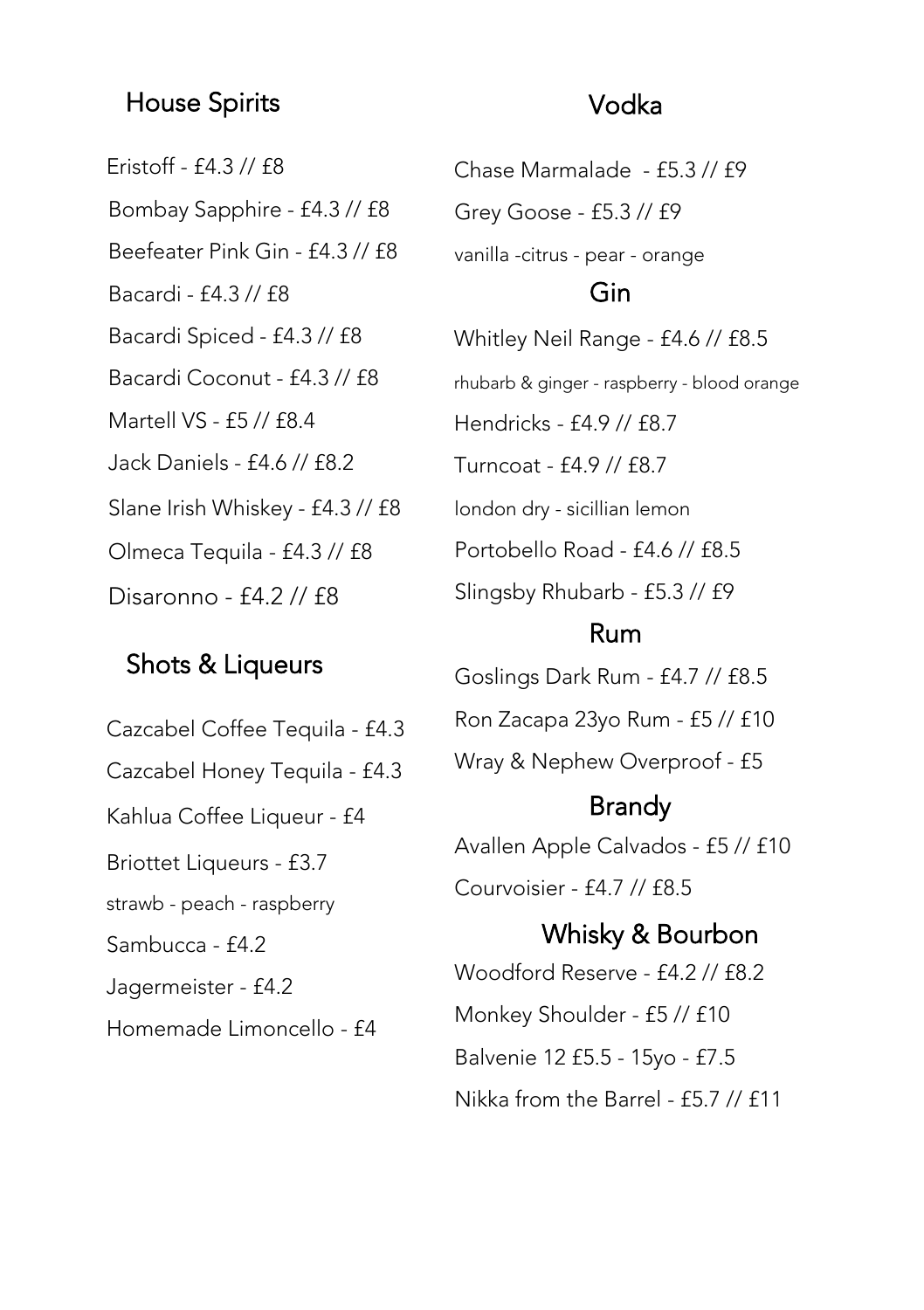#### House Spirits Vodka

Eristoff - £4.3 // £8 Bombay Sapphire - £4.3 // £8 Beefeater Pink Gin - £4.3 // £8 Bacardi - £4.3 // £8 Bacardi Spiced - £4.3 // £8 Bacardi Coconut - £4.3 // £8 Martell VS - £5 // £8.4 Jack Daniels - £4.6 // £8.2 Slane Irish Whiskey - £4.3 // £8 Olmeca Tequila - £4.3 // £8 Disaronno - £4.2 // £8

#### Shots & Liqueurs

Cazcabel Coffee Tequila - £4.3 Cazcabel Honey Tequila - £4.3 Kahlua Coffee Liqueur - £4 Briottet Liqueurs - £3.7 strawb - peach - raspberry Sambucca - £4.2 Jagermeister - £4.2 Homemade Limoncello - £4

Chase Marmalade - £5.3 // £9 Grey Goose - £5.3 // £9 vanilla -citrus - pear - orange Whitley Neil Range - £4.6 // £8.5 rhubarb & ginger - raspberry - blood orange Hendricks - £4.9 // £8.7 Turncoat - £4.9 // £8.7 london dry - sicillian lemon Portobello Road - £4.6 // £8.5 Slingsby Rhubarb - £5.3 // £9 Gin

#### Rum

Goslings Dark Rum - £4.7 // £8.5 Ron Zacapa 23yo Rum - £5 // £10 Wray & Nephew Overproof - £5

### Brandy

Avallen Apple Calvados - £5 // £10 Courvoisier - £4.7 // £8.5

Woodford Reserve - £4.2 // £8.2 Monkey Shoulder - £5 // £10 Balvenie 12 £5.5 - 15yo - £7.5 Nikka from the Barrel - £5.7 // £11 Whisky & Bourbon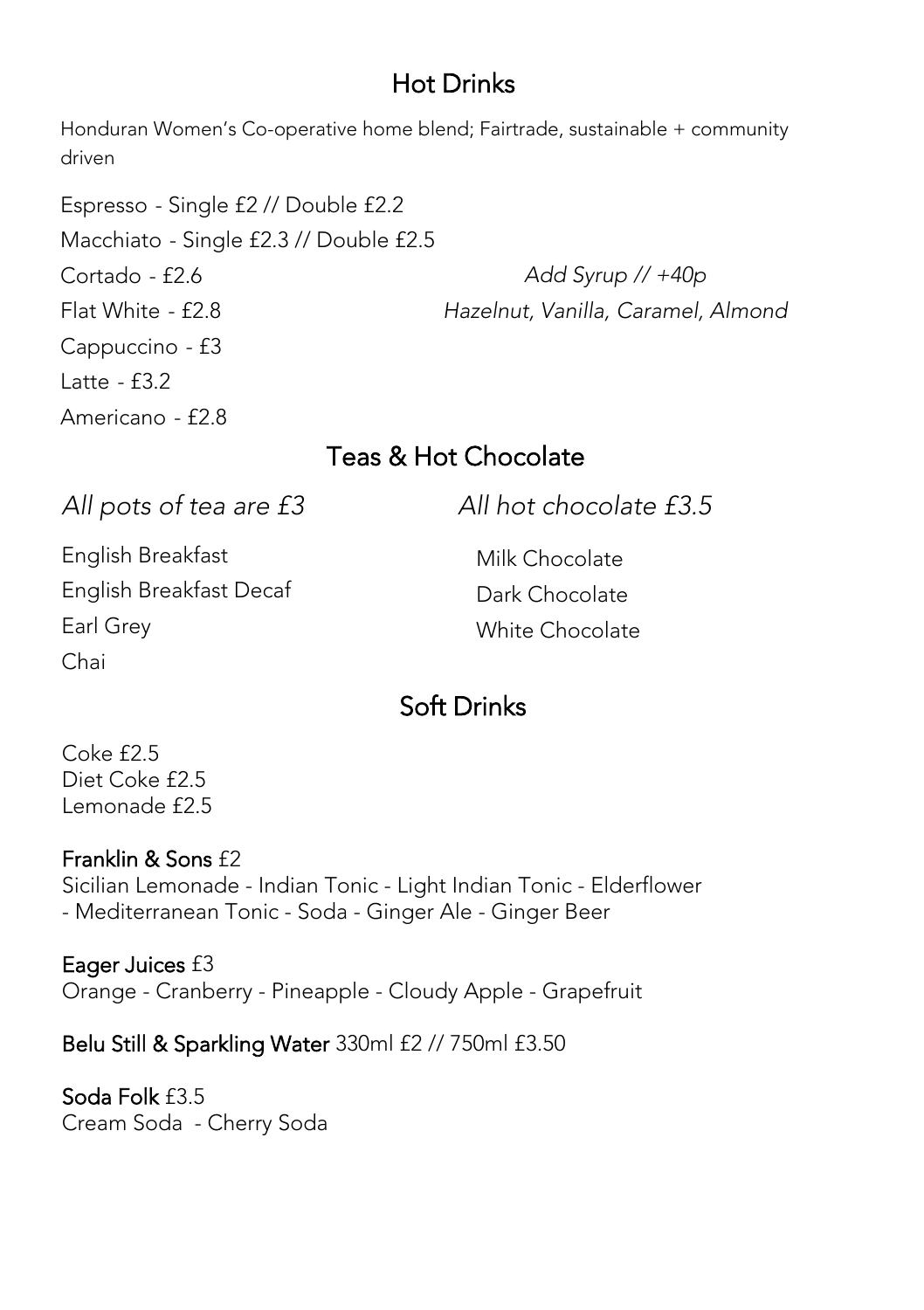# Hot Drinks

Honduran Women's Co-operative home blend; Fairtrade, sustainable + community driven

Espresso - Single £2 // Double £2.2 Macchiato - Single £2.3 // Double £2.5 Cortado - £2.6 Flat White - £2.8 Cappuccino - £3 Latte - £3.2 Americano - £2.8 Add Syrup // +40p Hazelnut, Vanilla, Caramel, Almond

# Teas & Hot Chocolate

All pots of tea are £3 All hot chocolate £3.5 English Breakfast English Breakfast Decaf Earl Grey Chai Milk Chocolate Dark Chocolate White Chocolate

# Soft Drinks

Coke £2.5 Diet Coke £2.5 Lemonade  $f2.5$ 

#### Franklin & Sons £2

Sicilian Lemonade - Indian Tonic - Light Indian Tonic - Elderflower - Mediterranean Tonic - Soda - Ginger Ale - Ginger Beer

Eager Juices £3 Orange - Cranberry - Pineapple - Cloudy Apple - Grapefruit

Belu Still & Sparkling Water 330ml £2 // 750ml £3.50

Soda Folk £3.5 Cream Soda - Cherry Soda